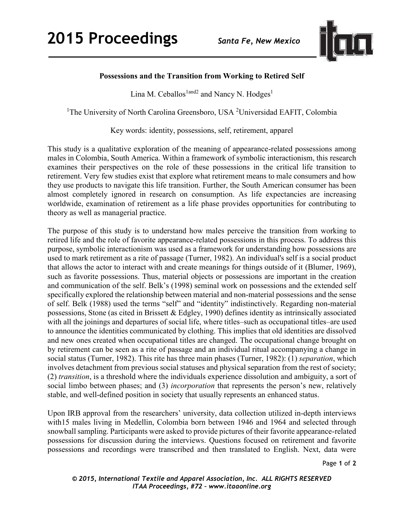

## **Possessions and the Transition from Working to Retired Self**

Lina M. Ceballos<sup>1and2</sup> and Nancy N. Hodges<sup>1</sup>

<sup>1</sup>The University of North Carolina Greensboro, USA <sup>2</sup>Universidad EAFIT, Colombia

Key words: identity, possessions, self, retirement, apparel

This study is a qualitative exploration of the meaning of appearance-related possessions among males in Colombia, South America. Within a framework of symbolic interactionism, this research examines their perspectives on the role of these possessions in the critical life transition to retirement. Very few studies exist that explore what retirement means to male consumers and how they use products to navigate this life transition. Further, the South American consumer has been almost completely ignored in research on consumption. As life expectancies are increasing worldwide, examination of retirement as a life phase provides opportunities for contributing to theory as well as managerial practice.

The purpose of this study is to understand how males perceive the transition from working to retired life and the role of favorite appearance-related possessions in this process. To address this purpose, symbolic interactionism was used as a framework for understanding how possessions are used to mark retirement as a rite of passage (Turner, 1982). An individual's self is a social product that allows the actor to interact with and create meanings for things outside of it (Blumer, 1969), such as favorite possessions. Thus, material objects or possessions are important in the creation and communication of the self. Belk's (1998) seminal work on possessions and the extended self specifically explored the relationship between material and non-material possessions and the sense of self. Belk (1988) used the terms "self" and "identity" indistinctively. Regarding non-material possessions, Stone (as cited in Brissett & Edgley, 1990) defines identity as intrinsically associated with all the joinings and departures of social life, where titles–such as occupational titles–are used to announce the identities communicated by clothing. This implies that old identities are dissolved and new ones created when occupational titles are changed. The occupational change brought on by retirement can be seen as a rite of passage and an individual ritual accompanying a change in social status (Turner, 1982). This rite has three main phases (Turner, 1982): (1) *separation*, which involves detachment from previous social statuses and physical separation from the rest of society; (2) *transition*, is a threshold where the individuals experience dissolution and ambiguity, a sort of social limbo between phases; and (3) *incorporation* that represents the person's new, relatively stable, and well-defined position in society that usually represents an enhanced status.

Upon IRB approval from the researchers' university, data collection utilized in-depth interviews with15 males living in Medellin, Colombia born between 1946 and 1964 and selected through snowball sampling. Participants were asked to provide pictures of their favorite appearance-related possessions for discussion during the interviews. Questions focused on retirement and favorite possessions and recordings were transcribed and then translated to English. Next, data were

Page **1** of **2** 

*© 2015, International Textile and Apparel Association, Inc. ALL RIGHTS RESERVED ITAA Proceedings, #72 – www.itaaonline.org*